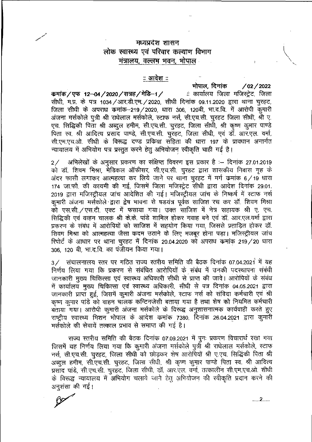## मध्यप्रदेश शासन लोक स्वास्थ्य एवं परिवार कल्याण विभाग <u>मंत्रालय, वल्लभ भवन, भोपाल</u>

## ः आदेश ः

मोपाल, दिनांक  $/02/2022$ कमांक / एफ 12-04 / 2020 / सत्रह / मेडि-1 / ं कार्यालय जिला मजिस्ट्रेट, जिला सीधी, म.प्र. के पत्र 1034 / आर.डी.एम. / 2020, सीधी दिनांक 09.11.2020 द्वारा थाना चुरहट, जिला सीधी के अपराध कमांक-219/2020, धारा 306, 120बी, भा.द.वि. में आरोपी कुमारी अंजना मर्सकोले पूत्री श्री राधेलाल मर्सकोले, स्टाफ नर्स, सी.एच.सी. चुरहट जिला सीधी, श्री ए. एच. सिद्धिकी पिता श्री अब्दुल हमीम, सी.एच.सी. चुरहट, जिला सीधी, श्री कृष्ण कुमार पाण्डे पिता स्व. श्री आदित्य प्रसाद पाण्डे, सी.एच.सी. चुरहट, जिला सीधी, एवं डॉ. आर.एल. वर्मा, सी.एम.एच.ओ. सीधी के विरूद्ध दण्ड प्रकिया संहिता की धारा 197 के प्रावधान अन्तर्गत न्यायालय में अभियोग पत्र प्रस्तुत करने हेतु अभियोजन स्वीकृति चाही गई है।

अभिलेखों के अनुसार प्रकरण का संक्षिप्त विवरण इस प्रकार है :- दिनांक 27.01.2019  $2/$ को डॉ. शिवम मिश्रा, मेडिकल ऑफीसर, सी.एच.सी. चुरहट द्वारा शासकीय निवास गृह के अंदर फासी लगाकर आत्महत्या कर लिये जाने पर थाना चुरहट में मर्ग कमांक 6/19 धारा 174 जा.फौ. की कायमी की गई, जिसमें जिला मजिस्ट्रेट सीधी द्वारा आदेश दिनांक 29.01. 2019 द्वारा मजिस्टीयल जांच आदेशित की गई। मजिस्टीयल जांच के निष्कर्ष में स्टाफ नर्स कुमारी अंजना मर्सकोले द्वारा द्वेष भावना से षडयंत्र पूर्वक साजिश रच कर डॉ. शिवम मिश्रा को एस.सी./एस.टी. एक्ट में फसाया गया। उक्त साजिश में नेत्र सहायक श्री ए. एच. सिद्धिकी एवं वाहन चालक श्री के.के. पांडे शामिल होकर गवाह बने एवं डॉ. आर.एल.वर्मा द्वारा प्रकरण के संबंध में आरोपियों को साजिश में सहयोग किया गया, जिससे प्रताडित होकर डॉ. शिवम मिश्रा को आत्महत्या जैसा कदम उठाने के लिए मजबूर होना पड़ा। मजिस्ट्रीयल जांच रिपोर्ट के आधार पर थाना चुरहट में दिनांक 20.04.2020 को अपराध कमांक 219/20 धारा 306, 120 बी, भा.द.वि. का पंजीयन किया गया।

3/ संचालनालय स्तर पर गठित राज्य स्तरीय समिति की बैठक दिनांक 07.04.2021 में यह निर्णय लिया गया कि प्रकरण से संबंधित आरोपियों के संबंध में उनकी पदस्थापना संबंधी जानकारी मुख्य चिकित्सा एवं स्वास्थ्य अधिकारी सीधी से प्राप्त की जावे। आरोपियों के संबंध में कार्यालय मुख्य चिकित्सा एवं स्वास्थ्य अधिकारी, सीधी से पत्र दिनांक 04.05.2021 द्वारा जानकारी प्राप्त हुई, जिसमें कुमारी अंजना मर्सकोले, स्टाफ नर्स को संविदा कर्मचारी एवं श्री कृष्ण कुमार पांडे को वाहन चालक कन्टिनजेसी बताया गया है तथा शेष को नियमित कर्मचारी बताया गया। आरोपी कुमारी अंजना मर्सकोले के विरूद्ध अनुशासनात्मक कार्यवाही करते हुए राष्ट्रीय स्वास्थ्य मिशन भोपाल के आदेश कमांक 7380, दिनांक 26.04.2021 द्वारा कुमारी मर्सकोले की सेवायें तत्काल प्रभाव से समाप्त की गई है।

राज्य स्तरीय समिति की बैठक दिनांक 07.09.2021 में पुनः प्रकरण विचारार्थ रखा गया जिसमें यह निर्णय लिया गया कि कुमारी अंजना मर्सकोले पुत्री श्री राधेलाल मर्सकोले, स्टाफ नर्स, सी.एच.सी. चुरहट, जिला सीधी को छोड़कर शेष आरोपियों श्री ए.एच. सिद्धिकी पिता श्री अब्दुल हमीम, सी.एच.सी. चुरहट, जिला सीधी, श्री कृष्ण कुमार पाण्डे पिता स्व. श्री आदित्य प्रसाद पांडे, सी.एच.सी. चुरहट, जिला सीधी, डॉ. आर.एल. वर्मा, तत्कालीन सी.एम.एच.ओ. सीधी के विरूद्ध न्यायालय में अभियोग चलाये जाने हेत् अभियोजन की स्वीकृति प्रदान करने की अनुशंसा की गई।

.....2......